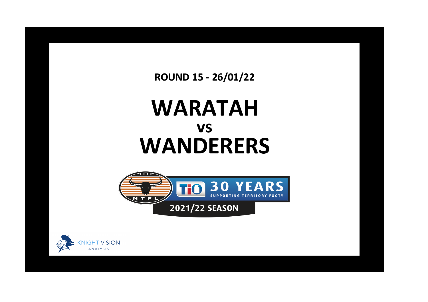**ROUND 15 - 26/01/22**

## **WARATAH WANDERERS vs**



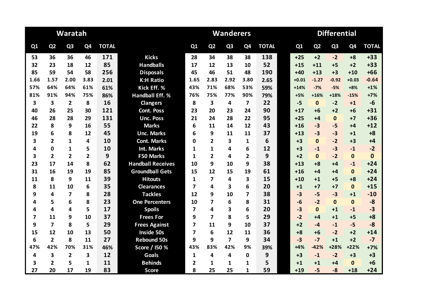|                |                         | Waratah        |                |              |                          |                |                | <b>Wanderers</b> |                |              | <b>Differential</b> |                |                |                |              |  |
|----------------|-------------------------|----------------|----------------|--------------|--------------------------|----------------|----------------|------------------|----------------|--------------|---------------------|----------------|----------------|----------------|--------------|--|
| Q1             | Q <sub>2</sub>          | Q <sub>3</sub> | Q4             | <b>TOTAL</b> |                          | Q1             | Q <sub>2</sub> | Q <sub>3</sub>   | Q <sub>4</sub> | <b>TOTAL</b> | Q1                  | Q <sub>2</sub> | Q <sub>3</sub> | Q <sub>4</sub> | <b>TOTAL</b> |  |
| 53             | 36                      | 36             | 46             | 171          | <b>Kicks</b>             | 28             | 34             | 38               | 38             | 138          | $+25$               | $+2$           | $-2$           | $+8$           | $+33$        |  |
| 32             | 23                      | 18             | 12             | 85           | <b>Handballs</b>         | 17             | 12             | 13               | 10             | 52           | $+15$               | $+11$          | $+5$           | $+2$           | $+33$        |  |
| 85             | 59                      | 54             | 58             | 256          | <b>Disposals</b>         | 45             | 46             | 51               | 48             | 190          | $+40$               | $+13$          | $+3$           | $+10$          | $+66$        |  |
| 1.66           | 1.57                    | 2.00           | 3.83           | 2.01         | <b>K:H Ratio</b>         | 1.65           | 2.83           | 2.92             | 3.80           | 2.65         | $+0.01$             | $-1.27$        | $-0.92$        | $+0.03$        | $-0.64$      |  |
| 57%            | 64%                     | 64%            | 61%            | 61%          | Kick Eff. %              | 43%            | 71%            | 68%              | 53%            | 59%          | $+14%$              | $-7%$          | $-5%$          | $+8%$          | $+1%$        |  |
| 81%            | 91%                     | 94%            | 75%            | 86%          | <b>Handball Eff. %</b>   | 76%            | 75%            | 77%              | 90%            | 79%          | $+5%$               | $+16%$         | $+18%$         | $-15%$         | $+7%$        |  |
| 3              | 3                       | $\overline{2}$ | 8              | 16           | <b>Clangers</b>          | 8              | 3              | 4                | $\overline{7}$ | 22           | $-5$                | $\mathbf{0}$   | $-2$           | $+1$           | $-6$         |  |
| 40             | 26                      | 25             | 30             | 121          | <b>Cont. Poss</b>        | 23             | 20             | 23               | 24             | 90           | $+17$               | +6             | $+2$           | $+6$           | $+31$        |  |
| 46             | 28                      | 28             | 29             | 131          | <b>Unc. Poss</b>         | 21             | 24             | 28               | 22             | 95           | $+25$               | $+4$           | $\mathbf{0}$   | $+7$           | $+36$        |  |
| 22             | 8                       | 9              | 16             | 55           | <b>Marks</b>             | 6              | 11             | 14               | 12             | 43           | $+16$               | $-3$           | $-5$           | $+4$           | $+12$        |  |
| 19             | 6                       | 8              | 12             | 45           | <b>Unc. Marks</b>        | 6              | 9              | 11               | 11             | 37           | $+13$               | $-3$           | $-3$           | $+1$           | $+8$         |  |
| 3              | $\overline{2}$          | 1              | 4              | 10           | <b>Cont. Marks</b>       | 0              | $\overline{2}$ | 3                | 1              | 6            | $+3$                | $\mathbf{0}$   | $-2$           | $+3$           | $+4$         |  |
| 4              | 0                       | $\mathbf{1}$   | 5              | 10           | <b>Int. Marks</b>        | 1              | 1              | 4                | 6              | 12           | $+3$                | $-1$           | $-3$           | $-1$           | $-2$         |  |
| 3              | $\overline{2}$          | $\overline{2}$ | $\overline{2}$ | 9            | <b>F50 Marks</b>         | 1              | $\overline{2}$ | 4                | $\overline{2}$ | 9            | $+2$                | $\mathbf{0}$   | $-2$           | $\mathbf{0}$   | $\mathbf{0}$ |  |
| 23             | 17                      | 14             | 8              | 62           | <b>Handball Receives</b> | 10             | 9              | 10               | 9              | 38           | $+13$               | $+8$           | $+4$           | $-1$           | $+24$        |  |
| 31             | 16                      | 19             | 19             | 85           | <b>Groundball Gets</b>   | 15             | 12             | 15               | 19             | 61           | $+16$               | $+4$           | +4             | $\mathbf{0}$   | $+24$        |  |
| 11             | 8                       | 9              | 11             | 39           | <b>Hitouts</b>           | $\mathbf{1}$   | $\overline{7}$ | 4                | 3              | 15           | $+10$               | $+1$           | $+5$           | $+8$           | $+24$        |  |
| 8              | 11                      | 10             | 6              | 35           | <b>Clearances</b>        | 7              | 4              | 3                | 6              | 20           | $+1$                | $+7$           | $+7$           | $\mathbf{0}$   | $+15$        |  |
| 9              | 4                       | $\overline{7}$ | 8              | 28           | <b>Tackles</b>           | 12             | q              | 10               | 7              | 38           | $-3$                | $-5$           | $-3$           | $+1$           | $-10$        |  |
| 4              | 5                       | 6              | 8              | 23           | <b>One Percenters</b>    | 10             | 7              | 6                | 8              | 31           | $-6$                | $-2$           | $\mathbf{0}$   | $\mathbf{0}$   | $-8$         |  |
| 4              | $\overline{\mathbf{4}}$ | 4              | 5              | 17           | <b>Spoils</b>            | 7              | 4              | 3                | 6              | 20           | $-3$                | $\mathbf{0}$   | $+1$           | $-1$           | $-3$         |  |
| $\overline{7}$ | 11                      | 9              | 10             | 37           | <b>Frees For</b>         | 9              | $\overline{7}$ | 8                | 5              | 29           | $-2$                | +4             | $+1$           | $+5$           | $+8$         |  |
| 9              | $\overline{7}$          | 8              | 5              | 29           | <b>Frees Against</b>     | 7              | 11             | 9                | 10             | 37           | $+2$                | $-4$           | $-1$           | $-5$           | $-8$         |  |
| 15             | 12                      | 10             | 13             | 50           | <b>Inside 50s</b>        | $\overline{7}$ | 6              | 12               | 11             | 36           | $+8$                | +6             | $-2$           | $+2$           | $+14$        |  |
| 6              | $\overline{2}$          | 8              | 11             | 27           | <b>Rebound 50s</b>       | 9              | 9              | $\overline{ }$   | 9              | 34           | $-3$                | $-7$           | $+1$           | $+2$           | $-7$         |  |
| 47%            | 42%                     | 70%            | 31%            | 46%          | Score / I50 %            | 43%            | 83%            | 42%              | 9%             | 39%          | $+4%$               | $-42%$         | $+28%$         | $+22%$         | $+7%$        |  |
| 4              | 3                       | $\overline{2}$ | 3              | 12           | Goals                    | 1              | 4              | 4                | 0              | 9            | $+3$                | $-1$           | $-2$           | $+3$           | $+3$         |  |
| 3              | $\overline{2}$          | 5              | $\mathbf{1}$   | 11           | <b>Behinds</b>           | $\overline{2}$ | $\mathbf{1}$   | $\mathbf{1}$     | 1              | 5            | $+1$                | $^{\bf +1}$    | +4             | $\mathbf{0}$   | $+6$         |  |
| 27             | 20                      | 17             | 19             | 83           | <b>Score</b>             | 8              | 25             | 25               | 1              | 59           | $+19$               | $-5$           | $-8$           | $+18$          | $+24$        |  |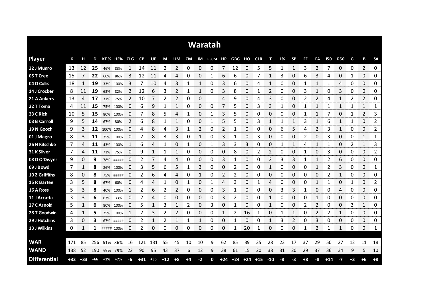| Waratah             |       |       |       |            |             |                    |           |       |       |                |      |                |                          |                |    |             |       |                |    |              |      |                |            |              |                |                 |                        |
|---------------------|-------|-------|-------|------------|-------------|--------------------|-----------|-------|-------|----------------|------|----------------|--------------------------|----------------|----|-------------|-------|----------------|----|--------------|------|----------------|------------|--------------|----------------|-----------------|------------------------|
| <b>Player</b>       | К     | н     | D     |            | KE% HE% CLG |                    | <b>CP</b> | UP    | M     | UM             |      |                | CM IM F50M HR GBG HO CLR |                |    |             |       | т              | 1% | <b>SP</b>    | FF   | FA             | <b>I50</b> | <b>R50</b>   | G              | В               | <b>SA</b>              |
| 32 J Munro          | 13    | 12    | 25    | 46%        | 83%         |                    | 14        | 11    | 2     | 2              | 0    | 0              | 0                        | 7              | 12 | 0           | 5     | 5              |    | 1            | 3    | 2              |            | 0            | 0              | 2               | 0                      |
| 05 T Cree           | 15    |       | 22    | 60%        | 86%         | 3                  | 12        | 11    | 4     | 4              | 0    | 0              |                          | 6              | 6  | 0           |       | 1              | 3  | 0            | 6    | 3              | 4          | 0            | 1              | 0               | 0                      |
| 04 D Collis         | 18    |       | 19    |            | 33% 100%    | 3                  | 7         | 10    | 4     | 3              |      |                | 0                        | 3              | 6  | 0           | 4     | 1              | 0  | 0            |      |                |            | 4            | 0              | 0               | 0                      |
| 14 J Crocker        | 8     | 11    | 19    | 63%        | 82%         | 2                  | 12        | 6     | 3     | 2              |      | 1              | 0                        | 3              | 8  | 0           |       | 2              | 0  | 0            | 3    | 1              | 0          | 3            | 0              | 0               | 0                      |
| 21 A Ankers         | 13    | 4     | 17    | 31%        | 75%         | $\overline{2}$     | 10        |       | 2     | $\overline{2}$ | 0    | 0              | 1                        | 4              | 9  | 0           | 4     | 3              | 0  | 0            | 2    | $\overline{2}$ | 4          | 1            | $\overline{2}$ | 2               | 0                      |
| 22 T Toma           | 4     | 11    | 15    | 75%        | 100%        | 0                  | 6         | 9     | 1     | 1              | 0    | 0              | 0                        | 7              | 5  | 0           | 3     | 3              | 1  | 0            | -1   | 1              |            | 1            | 1              | 1               | 1                      |
| 33 C Rich           | 10    | 5     | 15    | 80%        | 100%        | 0                  | 7         | 8     | 5     | 4              | 1    | 0              | 1                        | 3              | 5  | 0           | 0     | 0              | 0  | 0            |      | 1              |            | 0            | 1              | $\overline{2}$  | 3                      |
| 03 B Carroll        | 9     | 5     | 14    | 67%        | 80%         | 2                  | 6         | 8     | 1     | 1              | 0    | 0              | 1                        | 5              | 5  | 0           | 3     | 1              |    | 1            | 3    | 1              | 6          | 1            | 1              | 0               | 2                      |
| 19 N Gooch          | 9     | 3     | 12    | 100% 100%  |             | 0                  | 4         | 8     | 4     | 3              | 1    | $\overline{2}$ | 0                        | $\overline{2}$ |    | 0           | 0     | 0              | 6  | 5            | 4    | $\overline{2}$ | 3          | $\mathbf{1}$ | 0              | 0               | 2                      |
| 01 J Magro          | 8     | 3     | 11    | 75%        | 100%        | 0                  | 2         | 8     | 3     | 3              | 0    | 1              | 0                        | 3              | 1  | 0           | 3     | 0              | 0  | 0            | 2    | 0              | 3          | 0            | 0              | 1               | 1                      |
| 26 H Kitschke       | 7     | 4     | 11    | 43%        | 100%        | 1                  | 6         | 4     | 1     | 0              | 1    | 0              | 1                        | 3              | 3  | 3           | 0     | 0              |    | 1            | 4    | 1              |            | 0            | 2              | 1               | 3                      |
| 31 K Silver         | 7     | 4     | 11    | 71%        | 75%         | 0                  | 9         | 1     | 1     | 1              | 0    | 0              | 0                        | 0              | 8  | 0           | 2     | 2              | 0  | 0            | 1    | 0              | 3          | 0            | 0              | 0               | 2                      |
| 08 D O'Dwyer        | 9     | 0     | 9     |            | 78% #####   | 0                  | 2         |       | 4     | 4              | 0    | 0              | 0                        | 3              | 1  | 0           | 0     | $\overline{2}$ | 3  | 3            | 1    | 1              | 2          | 6            | 0              | 0               | 0                      |
| 09 J Bowd           | 7     | 1     | 8     | 86%        | 100%        | 0                  | 3         | 5     | 6     | 5              | 1    | 3              | 0                        | 0              | 2  | 0           | O     | 1              | O  | 0            | 0    |                | 2          | 3            | 0              | 0               | 1<br>mana              |
| 10 Z Griffiths      | 8     | 0     | 8     |            | 75% #####   | 0                  | 2         | 6     | 4     | 4              | 0    |                | 0                        | 2              | 2  | 0           | 0     | 0              | O  | 0            | 0    | 0              | 2          | 1            | 0              | 0<br>ana ana am | 0<br>ana ana           |
| 15 R Bartee         | 3     | 5     | 8     | 67%        | 60%         | O<br>------------- |           | Δ     |       | 0              |      | 0<br>omana a   |                          | 4              | 3  | 0           |       | 4              | 0  | O            | C    |                |            | 0<br>oommo   | onono.         | 0<br>ananana    | 2<br><b>Management</b> |
| 16 A Ross           | 5     | 3     | 8     | 40%        | 100%        | 1                  | 2         | 6     | 2     | 2              | 0    | 0              | 0                        | 3              |    | 0           | 0     | 0              | 3  | 3            |      | 0              | 0          | 4            | 0              | 0               | 0<br>ana araw          |
| 11 J Arratta        | 3     | 3     | 6     | 67%        | 33%         | 0                  | 2         |       | 0     | 0              | 0    | 0              | 0                        | 3              |    | 0           | 0     | 1              | O  | 0            | C    |                | C          | 0            | 0              | 0               | 0                      |
| 27 C Arnold         | 5     | 1     | 6     | 80%        | 100%        | 0                  | 5         | 1     | 3     | 1              | 2    | 0              | 3                        | 0              |    | 0           | 0     | 1              | 0  | 0            | 2    | 2              | 0          | 0            | 3              | 1               | 0                      |
| 28 T Goodwin        | 4     | 1     | 5     |            | 25% 100%    | 1                  | 2         | 3     | 2     | 2              | 0    | 0              | 0                        | 1              | 2  | 16          | 1     | 0              |    | $\mathbf{1}$ | 0    | 2              | 2          | 1            | 0              | 0               | 0                      |
| 29 J Hutchins       | 3     | 0     | 3     |            | 67% #####   | 0                  | 2         | 1     | 2     | 1              | 1    | 1              | 0                        | 0              | 1  | 0           | 0     | 1              | 3  | 2            | 0    | 3              | 0          | 0            | 0              | 0               | 0                      |
| 13 J Wilkins        | 0     | 1     | 1     | ##### 100% |             | 0                  | 2         | 0     | 0     | 0              | 0    | 0              | 0                        | 0              | 1  | 20          | 1     | 0              | 0  | 0            | -1   | 2              | 1          | 1            | 0              | 0               | 1                      |
| <b>WAR</b>          | 171   | 85    | 256   | 61%        | 86%         | 16                 | 121       | 131   | 55    | 45             | 10   | 10             | 9                        | 62             | 85 | 39          | 35    | 28             | 23 | 17           | 37   | 29             | 50         | 27           | 12             | 11              | 18                     |
| <b>WAND</b>         | 138   | 52    | 190   |            | 59% 79%     |                    | 90        | 95    |       | 37             |      | 12             | 9                        | 38             | 61 | 15          | 20    | 38             | 31 | 20           | 29   | 37             | 36         | 34           | 9              | 5               | 10                     |
|                     |       |       |       |            |             | 22                 |           |       | 43    |                | 6    |                |                          |                |    |             |       |                |    |              |      |                |            |              |                |                 |                        |
| <b>Differential</b> | $+33$ | $+33$ | $+66$ | $+1%$      | $+7%$       | -6                 | $+31$     | $+36$ | $+12$ | $+8$           | $+4$ | $-2$           | 0                        | $+24$          |    | $+24$ $+24$ | $+15$ | $-10$          | -8 | -3           | $+8$ | -8             | $+14$      | $-7$         | $+3$           | $+6$            | $+8$                   |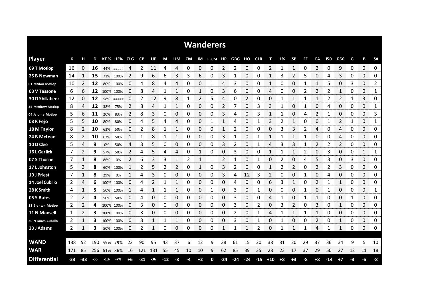| <b>Wanderers</b>       |       |       |     |         |             |        |                |           |       |    |                 |                   |                       |                     |       |       |       |               |      |           |    |                               |       |                        |             |              |               |
|------------------------|-------|-------|-----|---------|-------------|--------|----------------|-----------|-------|----|-----------------|-------------------|-----------------------|---------------------|-------|-------|-------|---------------|------|-----------|----|-------------------------------|-------|------------------------|-------------|--------------|---------------|
| <b>Player</b>          | К     | н     | D   |         | KE% HE% CLG |        | <b>CP</b>      | <b>UP</b> | M     | UM | CM              |                   | IM F50M HR GBG HO CLR |                     |       |       |       | т             | 1%   | <b>SP</b> | FF | FA                            | 150   | <b>R50</b>             | G           | B            | <b>SA</b>     |
| 09 T Motlop            | 16    | 0     | 16  | 44%     | #####       | 4      | 2              | 11        | 4     | 4  | 0               | 0                 | 0                     | 2                   | 2     | 0     | 0     | 2             |      | 1         | 0  | 2                             | 0     | 9                      | 0           | 0            | 0<br>         |
| 25 B Newman            | 14    |       | 15  | 71%     | 100%        | 2      | 9              | 6         | 6     | 3  | 3               | 6                 | 0                     | 3                   |       | 0     | 0     |               | 3    | 2         | 5  | 0                             | 4     | 3                      | 0           | 0            | 0             |
| 01 Marlon Motlop       | 10    | 2     | 12  |         | 80% 100%    | 0      | 4              | 8         | 4     | 4  | 0               | 0                 |                       | 4                   | 3     | 0     | 0     | 1             | 0    | 0         |    |                               | 5     | 0                      | 3           | 0            | 2             |
| 03 V Tassone           | 6     | 6     | 12  |         | 100% 100%   | 0      | 8              | 4         | 1     | 1  | 0               | 1                 | 0                     | 3                   | 6     | 0     | 0     | 4             | 0    | 0         | 2  | 2                             | 2     | 1                      | 0           | 0            | 1             |
| <b>30 D Shillabeer</b> | 12    | 0     | 12  |         | 58% #####   | 0      | 2              | 12        | 9     | 8  | 1               | 2                 | 5                     | 4                   | 0     | 2     | 0     | 0             |      | 1         |    | 1                             | 2     | 2                      | 1           | 3            | 0             |
| 35 Matthew Motlop      | 8     | 4     | 12  | 38%     | 75%         | 2      | 8              | 4         | 1     | 1  | 0               | 0                 | 0                     | 2                   | 7     | 0     | 3     | 3             | 1    | 0         | 1  | 0                             | 4     | 0                      | 0           | 0            | 1             |
| 04 Jerome Motlop       | 5     | 6     | 11  | 20%     | 83%         | 2      | 8              | 3         | 0     | 0  | 0               | 0                 | 0                     | 3                   | 4     | 0     | 3     |               |      | 0         | 4  | 2                             |       | 0                      | 0           | 0            | 3             |
| 08 K Fejo              | 5     | 5.    | 10  | 80%     | 80%         | 0      | 4              | 5         | 4     | 4  | 0               | 0                 | 1                     | 1                   | 4     | 0     | 1     | 3             | 2    | 1         | 0  | 0                             |       | 2                      | 1           | 0            | 1             |
| 18 M Taylor            | 8     | 2     | 10  | 63%     | 50%         | 0      | $\overline{2}$ | 8         | 1     | 1  | 0               | 0                 | 0                     | 1                   | 2     | 0     | 0     | 0             | 3    | 3         | 2  | 4                             | 0     | 4                      | 0           | 0            | 0             |
| 24 B McLean            | 8     | 2     | 10  | 63%     | 50%         | 1      | 1              | 8         | 1     | 1  | 0               | 0                 | 0                     | 3                   |       | 0     | 1     | 1             |      | 1         | 1  | 0                             | 0     | 4                      | 0           | 0            | 0             |
| 10 D Clee              | 5     | 4     | 9   | 0%      | 50%         | 4      | 3              | 5         | 0     | 0  | 0               | 0                 | 0                     | 3                   | 2     | 0     | 1     | 4             | 3    | 3         |    | $\overline{2}$                | 2     | $\overline{2}$         | 0           | $\Omega$     | 0             |
| 16 L Garlick           | 7     | 2     | 9   | 57%     | 50%         | 2      | 4              | 5         | 4     | 4  | 0               | 1                 | 0                     | 0                   | 3     | 0     | 0     | 1             |      | 1         | 2  | 0                             | 3     | 0                      | 0           | 1            | 1             |
| 07 S Thorne            | 7     | 1     | 8   | 86%     | 0%          | 2      | 6              | 3         | 3     | 1  | 2               | 1                 | 1                     | 2                   | 1     | 0     | 1     | 0             | 2    | 0         | 4  | 5                             | 3     | 0                      | 3           | 0            | 0             |
| 17 L Johnston          | 5     | 3     | 8   | 60%     | 100%        | 1      | 2              | 5         | 2     | 2  | 0               | 1                 | 0                     | 3                   | 2     | 0     | 0     | 1             | 2    | 2         | 0  | 2                             | 2     | 3                      | 0           | 0            | 0             |
| 19 J Priest            | 7     |       | 8   | 29%     | 0%          |        | 4              | 3         | 0     | 0  | 0               | 0                 | 0                     | 3                   | 4     | 12    | 3     | 2             | O    | 0         |    | 0                             | 4     | 0<br><b>STATISTICS</b> | 0           | 0<br>an mana | 0<br>an an an |
| 14 Joel Cubillo        | 2     | 4     | 6   |         | 100% 100%   | O      | 4              |           |       |    | 0               | 0                 | 0                     | 0                   | 4     | 0     | 0     | 6             | 3    |           |    | 2                             |       | 1                      | 0           | 0            | 0<br>onn onn  |
| 28 K Smith             | 4     |       | 5   | 50%     | 100%        | 1      | 4              |           | 1     | 1  | 0<br>an an an a | 0                 | 1                     | 0<br><b>Service</b> | 3     | 0     |       | 0<br>an an an | 0    | 0         |    | 0<br>november                 |       | 0<br><b>Services</b>   | 0<br>an mar | 0<br>www.com | 1<br>www.com  |
| 05 S Bates             | 2     |       | 4   | 50%     | 50%         | $\Box$ | 4              |           | 0     | 0  | 0               | 0                 | 0                     | 0                   | 3     | 0     | O     | 4             |      | 0         |    |                               | C     | 0                      |             | 0            | 0             |
| 13 Brenton Motlop      | 2     | 2     | 4   |         | 100% 100%   | 0      | 3              | 0         | 0     | 0  | 0               | 0                 | 0                     | 0                   | 3     | 0     | 2     | 0             | 3    | 2         | 0  | 3                             | 0     | 1                      | 0           | 0            | 0             |
| 11 N Mansell           | 1     |       | 3   |         | 100% 100%   | 0      | 3              | 0         | 0     | 0  | 0               | 0<br><b>SOCKS</b> | 0                     | 0                   | 2     | 0     |       | 4             |      |           |    | <b>Services</b>               | 0     | 0                      | 0<br>mana a | 0            | 0<br>annonno  |
| 20 N Jones-Cubillo     | 2     |       | з   |         | 100% 100%   | 0      | 3              |           |       |    | 0               | 0                 | 0                     | 0                   | 3     | 0     |       | 0             |      | 0         | 0  | 2<br><b>Secondary Control</b> | 0     | 1                      | 0           | 0            | 0<br>www.com  |
| 33 J Adams             | 2     | 1     | з   |         | 50% 100%    | 0      | 2              |           | 0     | 0  | 0               | 0                 | 0                     | 1                   |       |       | 2     | 0             |      |           |    | 4                             |       | 1                      | 0           | 0            | 0             |
|                        |       |       |     |         |             |        |                |           |       |    |                 |                   |                       |                     |       |       |       |               |      |           |    |                               |       |                        |             |              |               |
| <b>WAND</b>            | 138   | 52    | 190 | 59%     | 79%         | 22     | 90             | 95        | 43    | 37 | 6               | 12                | 9                     | 38                  | 61    | 15    | 20    | 38            | 31   | 20        | 29 | 37                            | 36    | 34                     | 9           | 5            | 10            |
| <b>WAR</b>             | 171   | 85    | 256 | 61% 86% |             | 16     | 121            | 131       | 55    | 45 | 10              | 10                | 9                     | 62                  | 85    | 39    | 35    | 28            | 23   | 17        | 37 | 29                            | 50    | 27                     | 12          | 11           | 18            |
| <b>Differential</b>    | $-33$ | $-33$ | -66 | $-1%$   | $-7%$       | +6     | $-31$          | $-36$     | $-12$ | -8 | -4              | $+2$              | 0                     | $-24$               | $-24$ | $-24$ | $-15$ | $+10$         | $+8$ | $+3$      | -8 | $+8$                          | $-14$ | $+7$                   | -3          | -6           | -8            |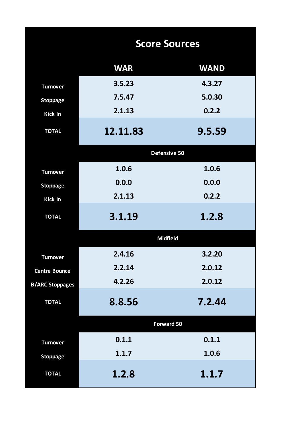|                        | <b>Score Sources</b> |             |  |  |  |  |  |  |  |  |
|------------------------|----------------------|-------------|--|--|--|--|--|--|--|--|
|                        | <b>WAR</b>           | <b>WAND</b> |  |  |  |  |  |  |  |  |
| <b>Turnover</b>        | 3.5.23               | 4.3.27      |  |  |  |  |  |  |  |  |
| <b>Stoppage</b>        | 7.5.47               | 5.0.30      |  |  |  |  |  |  |  |  |
| Kick In                | 2.1.13               | 0.2.2       |  |  |  |  |  |  |  |  |
| <b>TOTAL</b>           | 12.11.83             | 9.5.59      |  |  |  |  |  |  |  |  |
|                        | Defensive 50         |             |  |  |  |  |  |  |  |  |
| <b>Turnover</b>        | 1.0.6                | 1.0.6       |  |  |  |  |  |  |  |  |
| <b>Stoppage</b>        | 0.0.0                | 0.0.0       |  |  |  |  |  |  |  |  |
| Kick In                | 2.1.13               | 0.2.2       |  |  |  |  |  |  |  |  |
| <b>TOTAL</b>           | 3.1.19               | 1.2.8       |  |  |  |  |  |  |  |  |
|                        | <b>Midfield</b>      |             |  |  |  |  |  |  |  |  |
| <b>Turnover</b>        | 2.4.16               | 3.2.20      |  |  |  |  |  |  |  |  |
| <b>Centre Bounce</b>   | 2.2.14               | 2.0.12      |  |  |  |  |  |  |  |  |
| <b>B/ARC Stoppages</b> | 4.2.26               | 2.0.12      |  |  |  |  |  |  |  |  |
| <b>TOTAL</b>           | 8.8.56               | 7.2.44      |  |  |  |  |  |  |  |  |
|                        | Forward 50           |             |  |  |  |  |  |  |  |  |
| <b>Turnover</b>        | 0.1.1                | 0.1.1       |  |  |  |  |  |  |  |  |
| <b>Stoppage</b>        | 1.1.7                | 1.0.6       |  |  |  |  |  |  |  |  |
| <b>TOTAL</b>           | 1.2.8                | 1.1.7       |  |  |  |  |  |  |  |  |